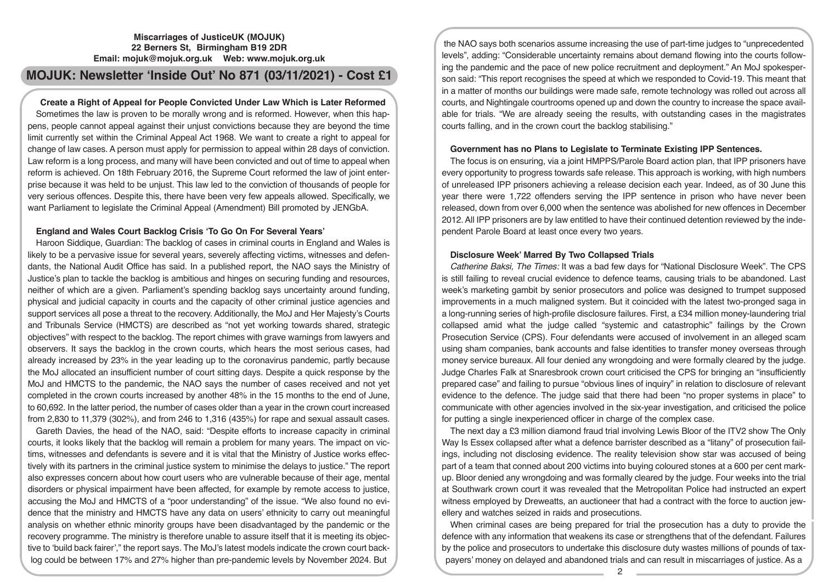# **Miscarriages of JusticeUK (MOJUK) 22 Berners St, Birmingham B19 2DR Email: mojuk@mojuk.org.uk Web: www.mojuk.org.uk**

# **MOJUK: Newsletter 'Inside Out' No 871 (03/11/2021) - Cost £1**

# **Create a Right of Appeal for People Convicted Under Law Which is Later Reformed**

Sometimes the law is proven to be morally wrong and is reformed. However, when this happens, people cannot appeal against their unjust convictions because they are beyond the time limit currently set within the Criminal Appeal Act 1968. We want to create a right to appeal for change of law cases. A person must apply for permission to appeal within 28 days of conviction. Law reform is a long process, and many will have been convicted and out of time to appeal when reform is achieved. On 18th February 2016, the Supreme Court reformed the law of joint enterprise because it was held to be unjust. This law led to the conviction of thousands of people for very serious offences. Despite this, there have been very few appeals allowed. Specifically, we want Parliament to legislate the Criminal Appeal (Amendment) Bill promoted by JENGbA.

# **England and Wales Court Backlog Crisis 'To Go On For Several Years'**

Haroon Siddique, Guardian: The backlog of cases in criminal courts in England and Wales is likely to be a pervasive issue for several years, severely affecting victims, witnesses and defendants, the National Audit Office has said. In a published report, the NAO says the Ministry of Justice's plan to tackle the backlog is ambitious and hinges on securing funding and resources, neither of which are a given. Parliament's spending backlog says uncertainty around funding, physical and judicial capacity in courts and the capacity of other criminal justice agencies and support services all pose a threat to the recovery. Additionally, the MoJ and Her Majesty's Courts and Tribunals Service (HMCTS) are described as "not yet working towards shared, strategic objectives" with respect to the backlog. The report chimes with grave warnings from lawyers and observers. It says the backlog in the crown courts, which hears the most serious cases, had already increased by 23% in the year leading up to the coronavirus pandemic, partly because the MoJ allocated an insufficient number of court sitting days. Despite a quick response by the MoJ and HMCTS to the pandemic, the NAO says the number of cases received and not yet completed in the crown courts increased by another 48% in the 15 months to the end of June, to 60,692. In the latter period, the number of cases older than a year in the crown court increased from 2,830 to 11,379 (302%), and from 246 to 1,316 (435%) for rape and sexual assault cases.

Gareth Davies, the head of the NAO, said: "Despite efforts to increase capacity in criminal courts, it looks likely that the backlog will remain a problem for many years. The impact on victims, witnesses and defendants is severe and it is vital that the Ministry of Justice works effectively with its partners in the criminal justice system to minimise the delays to justice." The report also expresses concern about how court users who are vulnerable because of their age, mental disorders or physical impairment have been affected, for example by remote access to justice, accusing the MoJ and HMCTS of a "poor understanding" of the issue. "We also found no evidence that the ministry and HMCTS have any data on users' ethnicity to carry out meaningful analysis on whether ethnic minority groups have been disadvantaged by the pandemic or the recovery programme. The ministry is therefore unable to assure itself that it is meeting its objective to 'build back fairer'," the report says. The MoJ's latest models indicate the crown court backlog could be between 17% and 27% higher than pre-pandemic levels by November 2024. But

the NAO says both scenarios assume increasing the use of part-time judges to "unprecedented levels", adding: "Considerable uncertainty remains about demand flowing into the courts following the pandemic and the pace of new police recruitment and deployment." An MoJ spokesperson said: "This report recognises the speed at which we responded to Covid-19. This meant that in a matter of months our buildings were made safe, remote technology was rolled out across all courts, and Nightingale courtrooms opened up and down the country to increase the space available for trials. "We are already seeing the results, with outstanding cases in the magistrates courts falling, and in the crown court the backlog stabilising."

# **Government has no Plans to Legislate to Terminate Existing IPP Sentences.**

The focus is on ensuring, via a joint HMPPS/Parole Board action plan, that IPP prisoners have every opportunity to progress towards safe release. This approach is working, with high numbers of unreleased IPP prisoners achieving a release decision each year. Indeed, as of 30 June this year there were 1,722 offenders serving the IPP sentence in prison who have never been released, down from over 6,000 when the sentence was abolished for new offences in December 2012. All IPP prisoners are by law entitled to have their continued detention reviewed by the independent Parole Board at least once every two years.

# **Disclosure Week' Marred By Two Collapsed Trials**

*Catherine Baksi, The Times:* It was a bad few days for "National Disclosure Week". The CPS is still failing to reveal crucial evidence to defence teams, causing trials to be abandoned. Last week's marketing gambit by senior prosecutors and police was designed to trumpet supposed improvements in a much maligned system. But it coincided with the latest two-pronged saga in a long-running series of high-profile disclosure failures. First, a £34 million money-laundering trial collapsed amid what the judge called "systemic and catastrophic" failings by the Crown Prosecution Service (CPS). Four defendants were accused of involvement in an alleged scam using sham companies, bank accounts and false identities to transfer money overseas through money service bureaux. All four denied any wrongdoing and were formally cleared by the judge. Judge Charles Falk at Snaresbrook crown court criticised the CPS for bringing an "insufficiently prepared case" and failing to pursue "obvious lines of inquiry" in relation to disclosure of relevant evidence to the defence. The judge said that there had been "no proper systems in place" to communicate with other agencies involved in the six-year investigation, and criticised the police for putting a single inexperienced officer in charge of the complex case.

The next day a £3 million diamond fraud trial involving Lewis Bloor of the ITV2 show The Only Way Is Essex collapsed after what a defence barrister described as a "litany" of prosecution failings, including not disclosing evidence. The reality television show star was accused of being part of a team that conned about 200 victims into buying coloured stones at a 600 per cent markup. Bloor denied any wrongdoing and was formally cleared by the judge. Four weeks into the trial at Southwark crown court it was revealed that the Metropolitan Police had instructed an expert witness employed by Dreweatts, an auctioneer that had a contract with the force to auction jewellery and watches seized in raids and prosecutions.

When criminal cases are being prepared for trial the prosecution has a duty to provide the defence with any information that weakens its case or strengthens that of the defendant. Failures by the police and prosecutors to undertake this disclosure duty wastes millions of pounds of taxpayers' money on delayed and abandoned trials and can result in miscarriages of justice. As a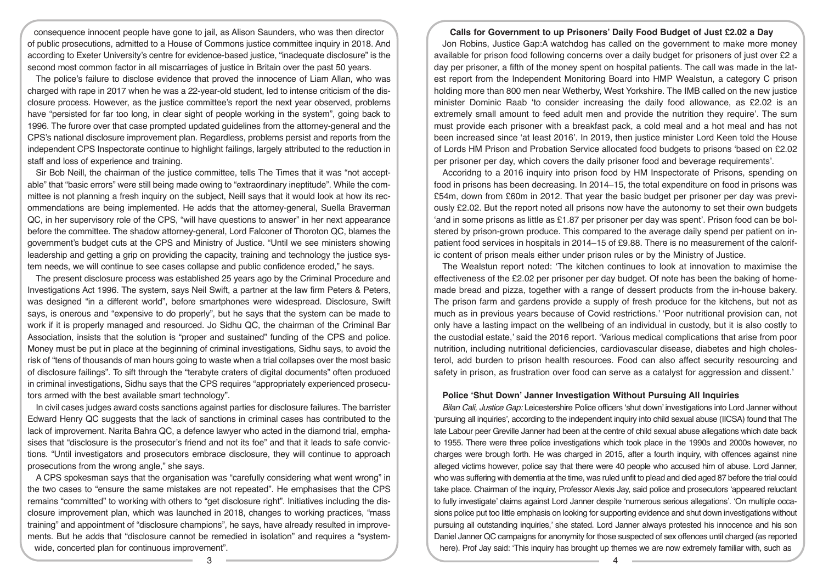consequence innocent people have gone to jail, as Alison Saunders, who was then director of public prosecutions, admitted to a House of Commons justice committee inquiry in 2018. And according to Exeter University's centre for evidence-based justice, "inadequate disclosure" is the second most common factor in all miscarriages of justice in Britain over the past 50 years.

The police's failure to disclose evidence that proved the innocence of Liam Allan, who was charged with rape in 2017 when he was a 22-year-old student, led to intense criticism of the disclosure process. However, as the justice committee's report the next year observed, problems have "persisted for far too long, in clear sight of people working in the system", going back to 1996. The furore over that case prompted updated guidelines from the attorney-general and the CPS's national disclosure improvement plan. Regardless, problems persist and reports from the independent CPS Inspectorate continue to highlight failings, largely attributed to the reduction in staff and loss of experience and training.

Sir Bob Neill, the chairman of the justice committee, tells The Times that it was "not acceptable" that "basic errors" were still being made owing to "extraordinary ineptitude". While the committee is not planning a fresh inquiry on the subject, Neill says that it would look at how its recommendations are being implemented. He adds that the attorney-general, Suella Braverman QC, in her supervisory role of the CPS, "will have questions to answer" in her next appearance before the committee. The shadow attorney-general, Lord Falconer of Thoroton QC, blames the government's budget cuts at the CPS and Ministry of Justice. "Until we see ministers showing leadership and getting a grip on providing the capacity, training and technology the justice system needs, we will continue to see cases collapse and public confidence eroded," he says.

The present disclosure process was established 25 years ago by the Criminal Procedure and Investigations Act 1996. The system, says Neil Swift, a partner at the law firm Peters & Peters, was designed "in a different world", before smartphones were widespread. Disclosure, Swift says, is onerous and "expensive to do properly", but he says that the system can be made to work if it is properly managed and resourced. Jo Sidhu QC, the chairman of the Criminal Bar Association, insists that the solution is "proper and sustained" funding of the CPS and police. Money must be put in place at the beginning of criminal investigations, Sidhu says, to avoid the risk of "tens of thousands of man hours going to waste when a trial collapses over the most basic of disclosure failings". To sift through the "terabyte craters of digital documents" often produced in criminal investigations, Sidhu says that the CPS requires "appropriately experienced prosecutors armed with the best available smart technology".

In civil cases judges award costs sanctions against parties for disclosure failures. The barrister Edward Henry QC suggests that the lack of sanctions in criminal cases has contributed to the lack of improvement. Narita Bahra QC, a defence lawyer who acted in the diamond trial, emphasises that "disclosure is the prosecutor's friend and not its foe" and that it leads to safe convictions. "Until investigators and prosecutors embrace disclosure, they will continue to approach prosecutions from the wrong angle," she says.

A CPS spokesman says that the organisation was "carefully considering what went wrong" in the two cases to "ensure the same mistakes are not repeated". He emphasises that the CPS remains "committed" to working with others to "get disclosure right". Initiatives including the disclosure improvement plan, which was launched in 2018, changes to working practices, "mass training" and appointment of "disclosure champions", he says, have already resulted in improvements. But he adds that "disclosure cannot be remedied in isolation" and requires a "systemwide, concerted plan for continuous improvement".

#### **Calls for Government to up Prisoners' Daily Food Budget of Just £2.02 a Day**

Jon Robins, Justice Gap:A watchdog has called on the government to make more money available for prison food following concerns over a daily budget for prisoners of just over £2 a day per prisoner, a fifth of the money spent on hospital patients. The call was made in the latest report from the Independent Monitoring Board into HMP Wealstun, a category C prison holding more than 800 men near Wetherby, West Yorkshire. The IMB called on the new justice minister Dominic Raab 'to consider increasing the daily food allowance, as £2.02 is an extremely small amount to feed adult men and provide the nutrition they require'. The sum must provide each prisoner with a breakfast pack, a cold meal and a hot meal and has not been increased since 'at least 2016'. In 2019, then justice minister Lord Keen told the House of Lords HM Prison and Probation Service allocated food budgets to prisons 'based on £2.02 per prisoner per day, which covers the daily prisoner food and beverage requirements'.

Accoridng to a 2016 inquiry into prison food by HM Inspectorate of Prisons, spending on food in prisons has been decreasing. In 2014–15, the total expenditure on food in prisons was £54m, down from £60m in 2012. That year the basic budget per prisoner per day was previously £2.02. But the report noted all prisons now have the autonomy to set their own budgets 'and in some prisons as little as £1.87 per prisoner per day was spent'. Prison food can be bolstered by prison-grown produce. This compared to the average daily spend per patient on inpatient food services in hospitals in 2014–15 of £9.88. There is no measurement of the calorific content of prison meals either under prison rules or by the Ministry of Justice.

The Wealstun report noted: 'The kitchen continues to look at innovation to maximise the effectiveness of the £2.02 per prisoner per day budget. Of note has been the baking of homemade bread and pizza, together with a range of dessert products from the in-house bakery. The prison farm and gardens provide a supply of fresh produce for the kitchens, but not as much as in previous years because of Covid restrictions.' 'Poor nutritional provision can, not only have a lasting impact on the wellbeing of an individual in custody, but it is also costly to the custodial estate,' said the 2016 report. 'Various medical complications that arise from poor nutrition, including nutritional deficiencies, cardiovascular disease, diabetes and high cholesterol, add burden to prison health resources. Food can also affect security resourcing and safety in prison, as frustration over food can serve as a catalyst for aggression and dissent.'

#### **Police 'Shut Down' Janner Investigation Without Pursuing All Inquiries**

*Bilan Cali, Justice Gap:* Leicestershire Police officers 'shut down' investigations into Lord Janner without 'pursuing all inquiries', according to the independent inquiry into child sexual abuse (IICSA) found that The late Labour peer Greville Janner had been at the centre of child sexual abuse allegations which date back to 1955. There were three police investigations which took place in the 1990s and 2000s however, no charges were brough forth. He was charged in 2015, after a fourth inquiry, with offences against nine alleged victims however, police say that there were 40 people who accused him of abuse. Lord Janner, who was suffering with dementia at the time, was ruled unfit to plead and died aged 87 before the trial could take place. Chairman of the inquiry, Professor Alexis Jay, said police and prosecutors 'appeared reluctant to fully investigate' claims against Lord Janner despite 'numerous serious allegations'. 'On multiple occasions police put too little emphasis on looking for supporting evidence and shut down investigations without pursuing all outstanding inquiries,' she stated. Lord Janner always protested his innocence and his son Daniel Janner QC campaigns for anonymity for those suspected of sex offences until charged (as reported here). Prof Jay said: 'This inquiry has brought up themes we are now extremely familiar with, such as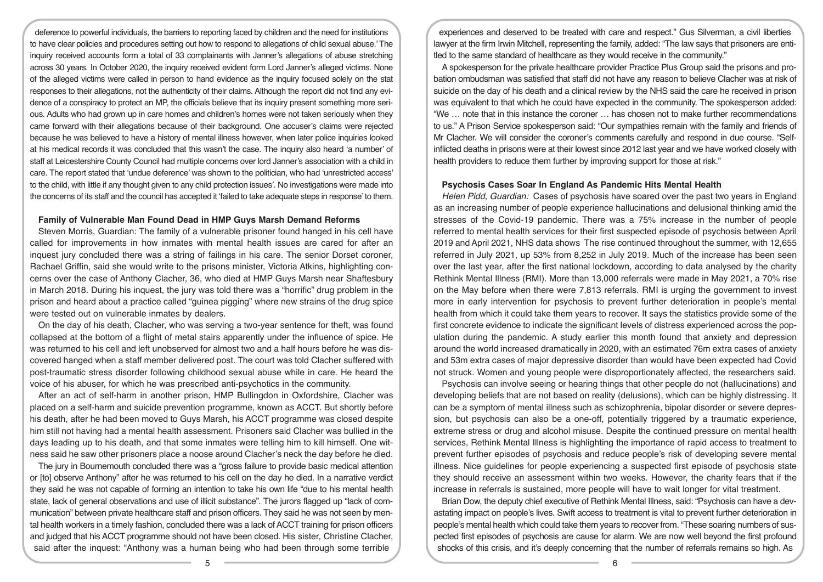deference to powerful individuals, the barriers to reporting faced by children and the need for institutions to have clear policies and procedures setting out how to respond to allegations of child sexual abuse.' The inquiry received accounts form a total of 33 complainants with Janner's allegations of abuse stretching across 30 years. In October 2020, the inquiry received evident form Lord Janner's alleged victims. None of the alleged victims were called in person to hand evidence as the inquiry focused solely on the stat responses to their allegations, not the authenticity of their claims. Although the report did not find any evidence of a conspiracy to protect an MP, the officials believe that its inquiry present something more serious. Adults who had grown up in care homes and children's homes were not taken seriously when they came forward with their allegations because of their background. One accuser's claims were rejected because he was believed to have a history of mental illness however, when later police inquiries looked at his medical records it was concluded that this wasn't the case. The inquiry also heard 'a number' of staff at Leicestershire County Council had multiple concerns over lord Janner's association with a child in care. The report stated that 'undue deference' was shown to the politician, who had 'unrestricted access' to the child, with little if any thought given to any child protection issues'. No investigations were made into the concerns of its staff and the council has accepted it 'failed to take adequate steps in response' to them.

#### **Family of Vulnerable Man Found Dead in HMP Guys Marsh Demand Reforms**

Steven Morris, Guardian: The family of a vulnerable prisoner found hanged in his cell have called for improvements in how inmates with mental health issues are cared for after an inquest jury concluded there was a string of failings in his care. The senior Dorset coroner, Rachael Griffin, said she would write to the prisons minister, Victoria Atkins, highlighting concerns over the case of Anthony Clacher, 36, who died at HMP Guys Marsh near Shaftesbury in March 2018. During his inquest, the jury was told there was a "horrific" drug problem in the prison and heard about a practice called "guinea pigging" where new strains of the drug spice were tested out on vulnerable inmates by dealers.

On the day of his death, Clacher, who was serving a two-year sentence for theft, was found collapsed at the bottom of a flight of metal stairs apparently under the influence of spice. He was returned to his cell and left unobserved for almost two and a half hours before he was discovered hanged when a staff member delivered post. The court was told Clacher suffered with post-traumatic stress disorder following childhood sexual abuse while in care. He heard the voice of his abuser, for which he was prescribed anti-psychotics in the community.

After an act of self-harm in another prison, HMP Bullingdon in Oxfordshire, Clacher was placed on a self-harm and suicide prevention programme, known as ACCT. But shortly before his death, after he had been moved to Guys Marsh, his ACCT programme was closed despite him still not having had a mental health assessment. Prisoners said Clacher was bullied in the days leading up to his death, and that some inmates were telling him to kill himself. One witness said he saw other prisoners place a noose around Clacher's neck the day before he died.

The jury in Bournemouth concluded there was a "gross failure to provide basic medical attention or [to] observe Anthony" after he was returned to his cell on the day he died. In a narrative verdict they said he was not capable of forming an intention to take his own life "due to his mental health state, lack of general observations and use of illicit substance". The jurors flagged up "lack of communication" between private healthcare staff and prison officers. They said he was not seen by mental health workers in a timely fashion, concluded there was a lack of ACCT training for prison officers and judged that his ACCT programme should not have been closed. His sister, Christine Clacher, said after the inquest: "Anthony was a human being who had been through some terrible

experiences and deserved to be treated with care and respect." Gus Silverman, a civil liberties lawyer at the firm Irwin Mitchell, representing the family, added: "The law says that prisoners are entitled to the same standard of healthcare as they would receive in the community."

A spokesperson for the private healthcare provider Practice Plus Group said the prisons and probation ombudsman was satisfied that staff did not have any reason to believe Clacher was at risk of suicide on the day of his death and a clinical review by the NHS said the care he received in prison was equivalent to that which he could have expected in the community. The spokesperson added: "We … note that in this instance the coroner … has chosen not to make further recommendations to us." A Prison Service spokesperson said: "Our sympathies remain with the family and friends of Mr Clacher. We will consider the coroner's comments carefully and respond in due course. "Selfinflicted deaths in prisons were at their lowest since 2012 last year and we have worked closely with health providers to reduce them further by improving support for those at risk."

### **Psychosis Cases Soar In England As Pandemic Hits Mental Health**

*Helen Pidd, Guardian:* Cases of psychosis have soared over the past two years in England as an increasing number of people experience hallucinations and delusional thinking amid the stresses of the Covid-19 pandemic. There was a 75% increase in the number of people referred to mental health services for their first suspected episode of psychosis between April 2019 and April 2021, NHS data shows The rise continued throughout the summer, with 12,655 referred in July 2021, up 53% from 8,252 in July 2019. Much of the increase has been seen over the last year, after the first national lockdown, according to data analysed by the charity Rethink Mental Illness (RMI). More than 13,000 referrals were made in May 2021, a 70% rise on the May before when there were 7,813 referrals. RMI is urging the government to invest more in early intervention for psychosis to prevent further deterioration in people's mental health from which it could take them years to recover. It says the statistics provide some of the first concrete evidence to indicate the significant levels of distress experienced across the population during the pandemic. A study earlier this month found that anxiety and depression around the world increased dramatically in 2020, with an estimated 76m extra cases of anxiety and 53m extra cases of major depressive disorder than would have been expected had Covid not struck. Women and young people were disproportionately affected, the researchers said.

Psychosis can involve seeing or hearing things that other people do not (hallucinations) and developing beliefs that are not based on reality (delusions), which can be highly distressing. It can be a symptom of mental illness such as schizophrenia, bipolar disorder or severe depression, but psychosis can also be a one-off, potentially triggered by a traumatic experience, extreme stress or drug and alcohol misuse. Despite the continued pressure on mental health services, Rethink Mental Illness is highlighting the importance of rapid access to treatment to prevent further episodes of psychosis and reduce people's risk of developing severe mental illness. Nice guidelines for people experiencing a suspected first episode of psychosis state they should receive an assessment within two weeks. However, the charity fears that if the increase in referrals is sustained, more people will have to wait longer for vital treatment.

Brian Dow, the deputy chief executive of Rethink Mental Illness, said: "Psychosis can have a devastating impact on people's lives. Swift access to treatment is vital to prevent further deterioration in people's mental health which could take them years to recover from. "These soaring numbers of suspected first episodes of psychosis are cause for alarm. We are now well beyond the first profound shocks of this crisis, and it's deeply concerning that the number of referrals remains so high. As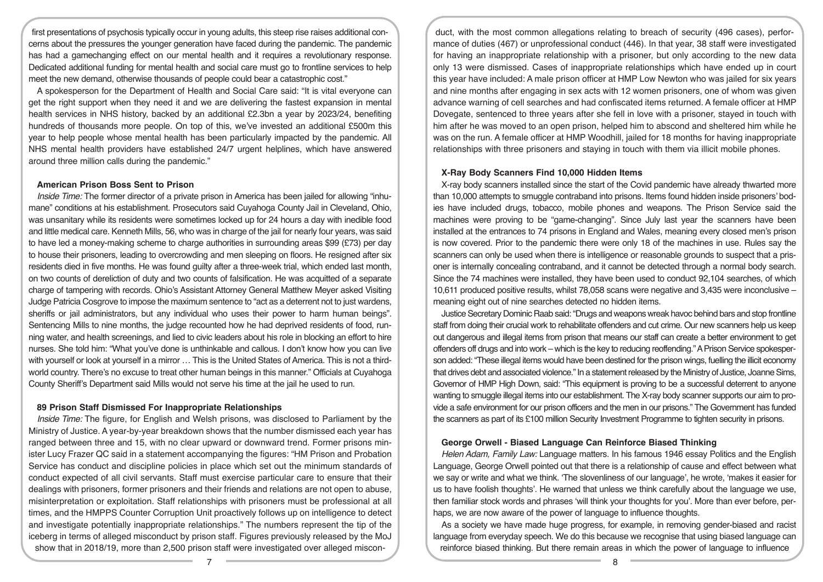first presentations of psychosis typically occur in young adults, this steep rise raises additional concerns about the pressures the younger generation have faced during the pandemic. The pandemic has had a gamechanging effect on our mental health and it requires a revolutionary response. Dedicated additional funding for mental health and social care must go to frontline services to help meet the new demand, otherwise thousands of people could bear a catastrophic cost."

A spokesperson for the Department of Health and Social Care said: "It is vital everyone can get the right support when they need it and we are delivering the fastest expansion in mental health services in NHS history, backed by an additional £2.3bn a year by 2023/24, benefiting hundreds of thousands more people. On top of this, we've invested an additional £500m this year to help people whose mental health has been particularly impacted by the pandemic. All NHS mental health providers have established 24/7 urgent helplines, which have answered around three million calls during the pandemic."

### **American Prison Boss Sent to Prison**

*Inside Time:* The former director of a private prison in America has been jailed for allowing "inhumane" conditions at his establishment. Prosecutors said Cuyahoga County Jail in Cleveland, Ohio, was unsanitary while its residents were sometimes locked up for 24 hours a day with inedible food and little medical care. Kenneth Mills, 56, who was in charge of the jail for nearly four years, was said to have led a money-making scheme to charge authorities in surrounding areas \$99 (£73) per day to house their prisoners, leading to overcrowding and men sleeping on floors. He resigned after six residents died in five months. He was found guilty after a three-week trial, which ended last month, on two counts of dereliction of duty and two counts of falsification. He was acquitted of a separate charge of tampering with records. Ohio's Assistant Attorney General Matthew Meyer asked Visiting Judge Patricia Cosgrove to impose the maximum sentence to "act as a deterrent not to just wardens, sheriffs or jail administrators, but any individual who uses their power to harm human beings". Sentencing Mills to nine months, the judge recounted how he had deprived residents of food, running water, and health screenings, and lied to civic leaders about his role in blocking an effort to hire nurses. She told him: "What you've done is unthinkable and callous. I don't know how you can live with yourself or look at yourself in a mirror … This is the United States of America. This is not a thirdworld country. There's no excuse to treat other human beings in this manner." Officials at Cuyahoga County Sheriff's Department said Mills would not serve his time at the jail he used to run.

# **89 Prison Staff Dismissed For Inappropriate Relationships**

*Inside Time:* The figure, for English and Welsh prisons, was disclosed to Parliament by the Ministry of Justice. A year-by-year breakdown shows that the number dismissed each year has ranged between three and 15, with no clear upward or downward trend. Former prisons minister Lucy Frazer QC said in a statement accompanying the figures: "HM Prison and Probation Service has conduct and discipline policies in place which set out the minimum standards of conduct expected of all civil servants. Staff must exercise particular care to ensure that their dealings with prisoners, former prisoners and their friends and relations are not open to abuse, misinterpretation or exploitation. Staff relationships with prisoners must be professional at all times, and the HMPPS Counter Corruption Unit proactively follows up on intelligence to detect and investigate potentially inappropriate relationships." The numbers represent the tip of the iceberg in terms of alleged misconduct by prison staff. Figures previously released by the MoJ show that in 2018/19, more than 2,500 prison staff were investigated over alleged miscon-

duct, with the most common allegations relating to breach of security (496 cases), performance of duties (467) or unprofessional conduct (446). In that year, 38 staff were investigated for having an inappropriate relationship with a prisoner, but only according to the new data only 13 were dismissed. Cases of inappropriate relationships which have ended up in court this year have included: A male prison officer at HMP Low Newton who was jailed for six years and nine months after engaging in sex acts with 12 women prisoners, one of whom was given advance warning of cell searches and had confiscated items returned. A female officer at HMP Dovegate, sentenced to three years after she fell in love with a prisoner, stayed in touch with him after he was moved to an open prison, helped him to abscond and sheltered him while he was on the run. A female officer at HMP Woodhill, jailed for 18 months for having inappropriate relationships with three prisoners and staying in touch with them via illicit mobile phones.

### **X-Ray Body Scanners Find 10,000 Hidden Items**

X-ray body scanners installed since the start of the Covid pandemic have already thwarted more than 10,000 attempts to smuggle contraband into prisons. Items found hidden inside prisoners' bodies have included drugs, tobacco, mobile phones and weapons. The Prison Service said the machines were proving to be "game-changing". Since July last year the scanners have been installed at the entrances to 74 prisons in England and Wales, meaning every closed men's prison is now covered. Prior to the pandemic there were only 18 of the machines in use. Rules say the scanners can only be used when there is intelligence or reasonable grounds to suspect that a prisoner is internally concealing contraband, and it cannot be detected through a normal body search. Since the 74 machines were installed, they have been used to conduct 92,104 searches, of which 10,611 produced positive results, whilst 78,058 scans were negative and 3,435 were inconclusive – meaning eight out of nine searches detected no hidden items.

Justice Secretary Dominic Raab said: "Drugs and weapons wreak havoc behind bars and stop frontline staff from doing their crucial work to rehabilitate offenders and cut crime. Our new scanners help us keep out dangerous and illegal items from prison that means our staff can create a better environment to get offenders off drugs and into work – which is the key to reducing reoffending." A Prison Service spokesperson added: "These illegal items would have been destined for the prison wings, fuelling the illicit economy that drives debt and associated violence." In a statement released by the Ministry of Justice, Joanne Sims, Governor of HMP High Down, said: "This equipment is proving to be a successful deterrent to anyone wanting to smuggle illegal items into our establishment. The X-ray body scanner supports our aim to provide a safe environment for our prison officers and the men in our prisons." The Government has funded the scanners as part of its £100 million Security Investment Programme to tighten security in prisons.

# **George Orwell - Biased Language Can Reinforce Biased Thinking**

*Helen Adam, Family Law:* Language matters. In his famous 1946 essay Politics and the English Language, George Orwell pointed out that there is a relationship of cause and effect between what we say or write and what we think. 'The slovenliness of our language', he wrote, 'makes it easier for us to have foolish thoughts'. He warned that unless we think carefully about the language we use, then familiar stock words and phrases 'will think your thoughts for you'. More than ever before, perhaps, we are now aware of the power of language to influence thoughts.

As a society we have made huge progress, for example, in removing gender-biased and racist language from everyday speech. We do this because we recognise that using biased language can reinforce biased thinking. But there remain areas in which the power of language to influence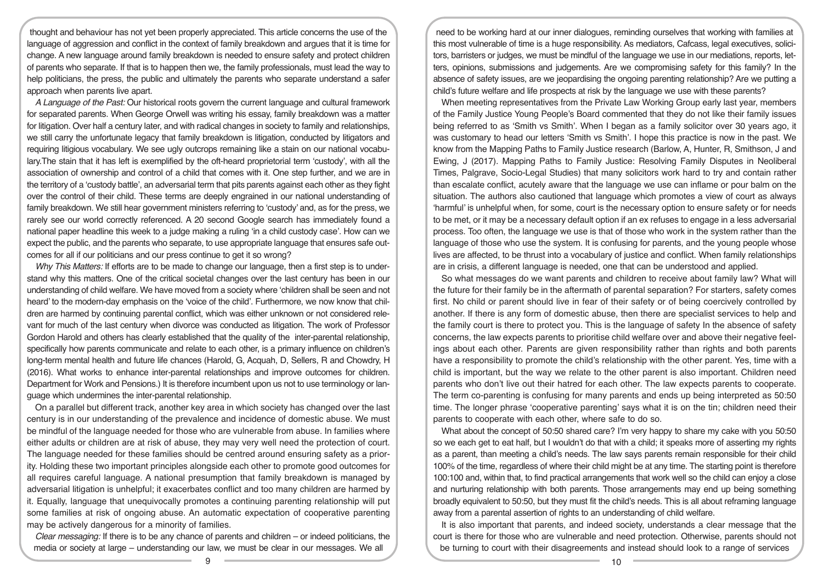thought and behaviour has not yet been properly appreciated. This article concerns the use of the language of aggression and conflict in the context of family breakdown and argues that it is time for change. A new language around family breakdown is needed to ensure safety and protect children of parents who separate. If that is to happen then we, the family professionals, must lead the way to help politicians, the press, the public and ultimately the parents who separate understand a safer approach when parents live apart.

*A Language of the Past:* Our historical roots govern the current language and cultural framework for separated parents. When George Orwell was writing his essay, family breakdown was a matter for litigation. Over half a century later, and with radical changes in society to family and relationships, we still carry the unfortunate legacy that family breakdown is litigation, conducted by litigators and requiring litigious vocabulary. We see ugly outcrops remaining like a stain on our national vocabulary.The stain that it has left is exemplified by the oft-heard proprietorial term 'custody', with all the association of ownership and control of a child that comes with it. One step further, and we are in the territory of a 'custody battle', an adversarial term that pits parents against each other as they fight over the control of their child. These terms are deeply engrained in our national understanding of family breakdown. We still hear government ministers referring to 'custody' and, as for the press, we rarely see our world correctly referenced. A 20 second Google search has immediately found a national paper headline this week to a judge making a ruling 'in a child custody case'. How can we expect the public, and the parents who separate, to use appropriate language that ensures safe outcomes for all if our politicians and our press continue to get it so wrong?

*Why This Matters:* If efforts are to be made to change our language, then a first step is to understand why this matters. One of the critical societal changes over the last century has been in our understanding of child welfare. We have moved from a society where 'children shall be seen and not heard' to the modern-day emphasis on the 'voice of the child'. Furthermore, we now know that children are harmed by continuing parental conflict, which was either unknown or not considered relevant for much of the last century when divorce was conducted as litigation. The work of Professor Gordon Harold and others has clearly established that the quality of the inter-parental relationship, specifically how parents communicate and relate to each other, is a primary influence on children's long-term mental health and future life chances (Harold, G, Acquah, D, Sellers, R and Chowdry, H (2016). What works to enhance inter-parental relationships and improve outcomes for children. Department for Work and Pensions.) It is therefore incumbent upon us not to use terminology or language which undermines the inter-parental relationship.

On a parallel but different track, another key area in which society has changed over the last century is in our understanding of the prevalence and incidence of domestic abuse. We must be mindful of the language needed for those who are vulnerable from abuse. In families where either adults or children are at risk of abuse, they may very well need the protection of court. The language needed for these families should be centred around ensuring safety as a priority. Holding these two important principles alongside each other to promote good outcomes for all requires careful language. A national presumption that family breakdown is managed by adversarial litigation is unhelpful; it exacerbates conflict and too many children are harmed by it. Equally, language that unequivocally promotes a continuing parenting relationship will put some families at risk of ongoing abuse. An automatic expectation of cooperative parenting may be actively dangerous for a minority of families.

*Clear messaging:* If there is to be any chance of parents and children – or indeed politicians, the media or society at large – understanding our law, we must be clear in our messages. We all

need to be working hard at our inner dialogues, reminding ourselves that working with families at this most vulnerable of time is a huge responsibility. As mediators, Cafcass, legal executives, solicitors, barristers or judges, we must be mindful of the language we use in our mediations, reports, letters, opinions, submissions and judgements. Are we compromising safety for this family? In the absence of safety issues, are we jeopardising the ongoing parenting relationship? Are we putting a child's future welfare and life prospects at risk by the language we use with these parents?

When meeting representatives from the Private Law Working Group early last year, members of the Family Justice Young People's Board commented that they do not like their family issues being referred to as 'Smith vs Smith'. When I began as a family solicitor over 30 years ago, it was customary to head our letters 'Smith vs Smith'. I hope this practice is now in the past. We know from the Mapping Paths to Family Justice research (Barlow, A, Hunter, R, Smithson, J and Ewing, J (2017). Mapping Paths to Family Justice: Resolving Family Disputes in Neoliberal Times, Palgrave, Socio-Legal Studies) that many solicitors work hard to try and contain rather than escalate conflict, acutely aware that the language we use can inflame or pour balm on the situation. The authors also cautioned that language which promotes a view of court as always 'harmful' is unhelpful when, for some, court is the necessary option to ensure safety or for needs to be met, or it may be a necessary default option if an ex refuses to engage in a less adversarial process. Too often, the language we use is that of those who work in the system rather than the language of those who use the system. It is confusing for parents, and the young people whose lives are affected, to be thrust into a vocabulary of justice and conflict. When family relationships are in crisis, a different language is needed, one that can be understood and applied.

So what messages do we want parents and children to receive about family law? What will the future for their family be in the aftermath of parental separation? For starters, safety comes first. No child or parent should live in fear of their safety or of being coercively controlled by another. If there is any form of domestic abuse, then there are specialist services to help and the family court is there to protect you. This is the language of safety In the absence of safety concerns, the law expects parents to prioritise child welfare over and above their negative feelings about each other. Parents are given responsibility rather than rights and both parents have a responsibility to promote the child's relationship with the other parent. Yes, time with a child is important, but the way we relate to the other parent is also important. Children need parents who don't live out their hatred for each other. The law expects parents to cooperate. The term co-parenting is confusing for many parents and ends up being interpreted as 50:50 time. The longer phrase 'cooperative parenting' says what it is on the tin; children need their parents to cooperate with each other, where safe to do so.

What about the concept of 50:50 shared care? I'm very happy to share my cake with you 50:50 so we each get to eat half, but I wouldn't do that with a child; it speaks more of asserting my rights as a parent, than meeting a child's needs. The law says parents remain responsible for their child 100% of the time, regardless of where their child might be at any time. The starting point is therefore 100:100 and, within that, to find practical arrangements that work well so the child can enjoy a close and nurturing relationship with both parents. Those arrangements may end up being something broadly equivalent to 50:50, but they must fit the child's needs. This is all about reframing language away from a parental assertion of rights to an understanding of child welfare.

It is also important that parents, and indeed society, understands a clear message that the court is there for those who are vulnerable and need protection. Otherwise, parents should not be turning to court with their disagreements and instead should look to a range of services